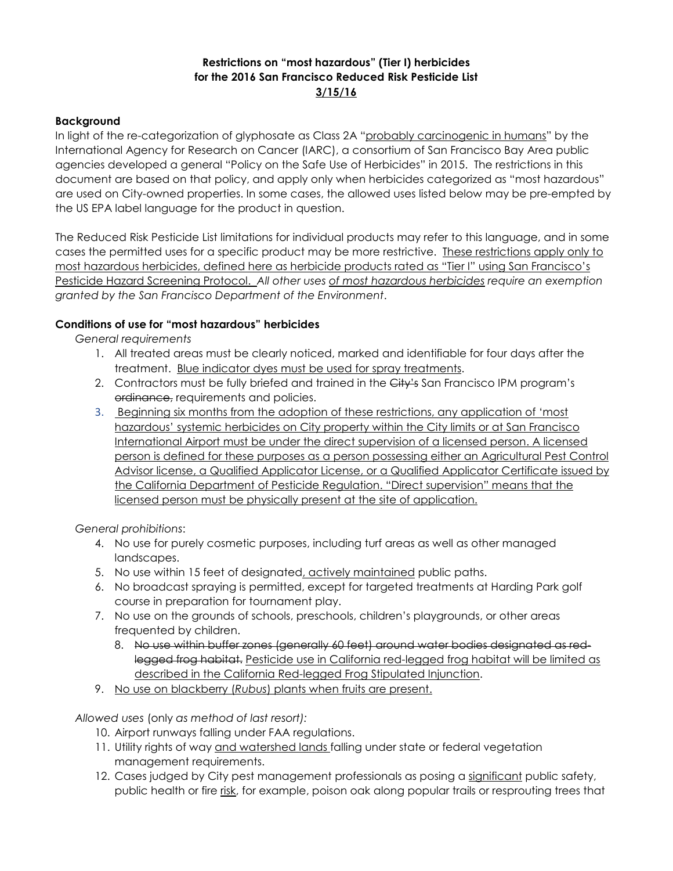## **Restrictions on "most hazardous" (Tier I) herbicides for the 2016 San Francisco Reduced Risk Pesticide List 3/15/16**

## **Background**

In light of the re-categorization of glyphosate as Class 2A "probably carcinogenic in humans" by the International Agency for Research on Cancer (IARC), a consortium of San Francisco Bay Area public agencies developed a general "Policy on the Safe Use of Herbicides" in 2015. The restrictions in this document are based on that policy, and apply only when herbicides categorized as "most hazardous" are used on City-owned properties. In some cases, the allowed uses listed below may be pre-empted by the US EPA label language for the product in question.

The Reduced Risk Pesticide List limitations for individual products may refer to this language, and in some cases the permitted uses for a specific product may be more restrictive. These restrictions apply only to most hazardous herbicides, defined here as herbicide products rated as "Tier I" using San Francisco's Pesticide Hazard Screening Protocol. *All other uses of most hazardous herbicides require an exemption granted by the San Francisco Department of the Environment*.

## **Conditions of use for "most hazardous" herbicides**

*General requirements* 

- 1. All treated areas must be clearly noticed, marked and identifiable for four days after the treatment. Blue indicator dyes must be used for spray treatments.
- 2. Contractors must be fully briefed and trained in the City's San Francisco IPM program's ordinance, requirements and policies.
- 3. Beginning six months from the adoption of these restrictions, any application of 'most hazardous' systemic herbicides on City property within the City limits or at San Francisco International Airport must be under the direct supervision of a licensed person. A licensed person is defined for these purposes as a person possessing either an Agricultural Pest Control Advisor license, a Qualified Applicator License, or a Qualified Applicator Certificate issued by the California Department of Pesticide Regulation. "Direct supervision" means that the licensed person must be physically present at the site of application.

*General prohibitions*:

- 4. No use for purely cosmetic purposes, including turf areas as well as other managed landscapes.
- 5. No use within 15 feet of designated, actively maintained public paths.
- 6. No broadcast spraying is permitted, except for targeted treatments at Harding Park golf course in preparation for tournament play.
- 7. No use on the grounds of schools, preschools, children's playgrounds, or other areas frequented by children.
	- 8. No use within buffer zones (generally 60 feet) around water bodies designated as redlegged frog habitat. Pesticide use in California red-legged frog habitat will be limited as described in the California Red-legged Frog Stipulated Injunction.
- 9. No use on blackberry (*Rubus*) plants when fruits are present.

*Allowed uses* (only *as method of last resort):*

- 10. Airport runways falling under FAA regulations.
- 11. Utility rights of way and watershed lands falling under state or federal vegetation management requirements.
- 12. Cases judged by City pest management professionals as posing a significant public safety, public health or fire risk, for example, poison oak along popular trails or resprouting trees that